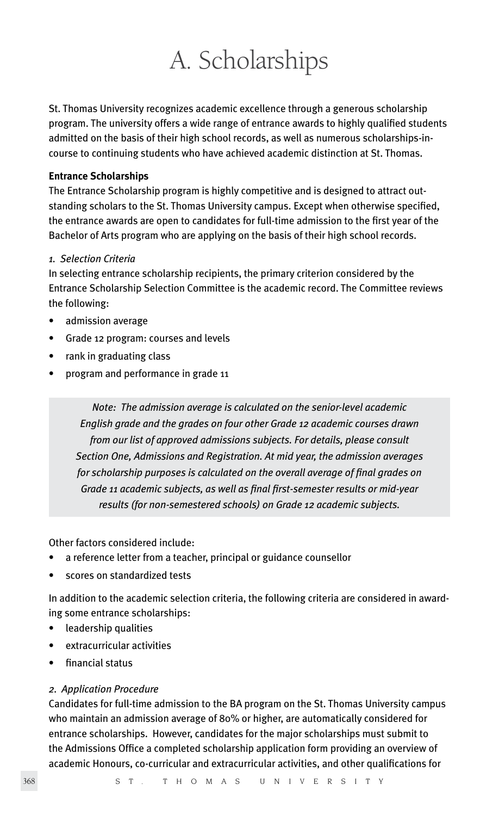# A. Scholarships

St. Thomas University recognizes academic excellence through a generous scholarship program. The university offers a wide range of entrance awards to highly qualified students admitted on the basis of their high school records, as well as numerous scholarships-incourse to continuing students who have achieved academic distinction at St. Thomas.

#### **Entrance Scholarships**

The Entrance Scholarship program is highly competitive and is designed to attract outstanding scholars to the St. Thomas University campus. Except when otherwise specified, the entrance awards are open to candidates for full-time admission to the first year of the Bachelor of Arts program who are applying on the basis of their high school records.

#### *1. Selection Criteria*

In selecting entrance scholarship recipients, the primary criterion considered by the Entrance Scholarship Selection Committee is the academic record. The Committee reviews the following:

- admission average
- Grade 12 program: courses and levels
- rank in graduating class
- program and performance in grade 11

*Note: The admission average is calculated on the senior-level academic English grade and the grades on four other Grade 12 academic courses drawn from our list of approved admissions subjects. For details, please consult Section One, Admissions and Registration. At mid year, the admission averages for scholarship purposes is calculated on the overall average of final grades on Grade 11 academic subjects, as well as final first-semester results or mid-year results (for non-semestered schools) on Grade 12 academic subjects.*

Other factors considered include:

- a reference letter from a teacher, principal or guidance counsellor
- scores on standardized tests

In addition to the academic selection criteria, the following criteria are considered in awarding some entrance scholarships:

- leadership qualities
- extracurricular activities
- financial status

#### *2. Application Procedure*

Candidates for full-time admission to the BA program on the St. Thomas University campus who maintain an admission average of 80% or higher, are automatically considered for entrance scholarships. However, candidates for the major scholarships must submit to the Admissions Office a completed scholarship application form providing an overview of academic Honours, co-curricular and extracurricular activities, and other qualifications for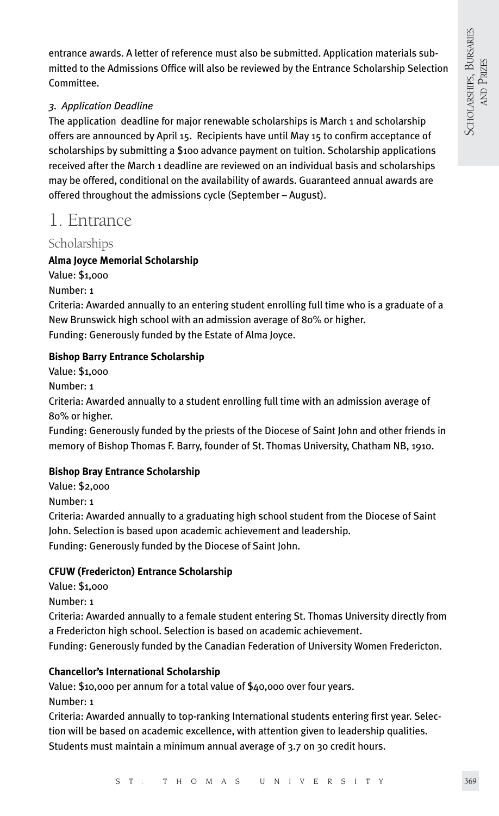entrance awards. A letter of reference must also be submitted. Application materials submitted to the Admissions Office will also be reviewed by the Entrance Scholarship Selection Committee.

#### *3. Application Deadline*

The application deadline for major renewable scholarships is March 1 and scholarship offers are announced by April 15. Recipients have until May 15 to confirm acceptance of scholarships by submitting a \$100 advance payment on tuition. Scholarship applications received after the March 1 deadline are reviewed on an individual basis and scholarships may be offered, conditional on the availability of awards. Guaranteed annual awards are offered throughout the admissions cycle (September – August).

## 1. Entrance

## Scholarships

## **Alma Joyce Memorial Scholarship**

Value: \$1,000

Number: 1

Criteria: Awarded annually to an entering student enrolling full time who is a graduate of a New Brunswick high school with an admission average of 80% or higher. Funding: Generously funded by the Estate of Alma Joyce.

## **Bishop Barry Entrance Scholarship**

Value: \$1,000

Number: 1

Criteria: Awarded annually to a student enrolling full time with an admission average of 80% or higher.

Funding: Generously funded by the priests of the Diocese of Saint John and other friends in memory of Bishop Thomas F. Barry, founder of St. Thomas University, Chatham NB, 1910.

## **Bishop Bray Entrance Scholarship**

Value: \$2,000

Number: 1

Criteria: Awarded annually to a graduating high school student from the Diocese of Saint John. Selection is based upon academic achievement and leadership. Funding: Generously funded by the Diocese of Saint John.

## **CFUW (Fredericton) Entrance Scholarship**

Value: \$1,000

Number: 1

Criteria: Awarded annually to a female student entering St. Thomas University directly from a Fredericton high school. Selection is based on academic achievement.

Funding: Generously funded by the Canadian Federation of University Women Fredericton.

## **Chancellor's International Scholarship**

Value: \$10,000 per annum for a total value of \$40,000 over four years. Number: 1

Criteria: Awarded annually to top-ranking International students entering first year. Selection will be based on academic excellence, with attention given to leadership qualities. Students must maintain a minimum annual average of 3.7 on 30 credit hours.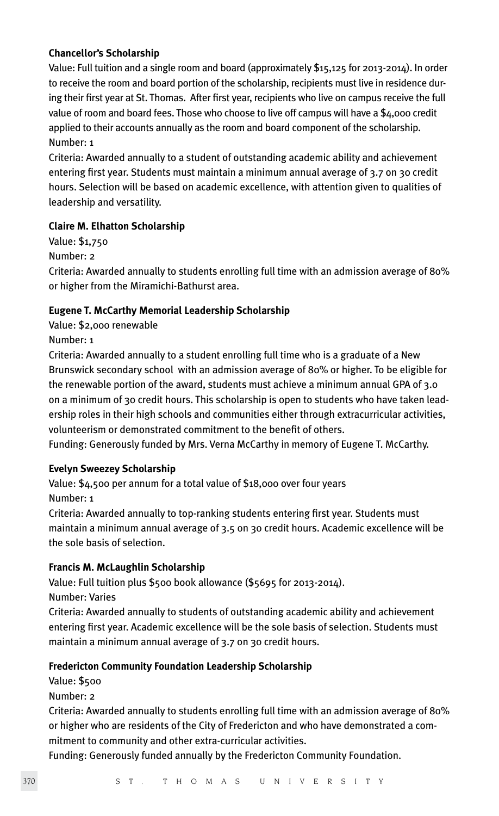#### **Chancellor's Scholarship**

Value: Full tuition and a single room and board (approximately \$15,125 for 2013-2014). In order to receive the room and board portion of the scholarship, recipients must live in residence during their first year at St. Thomas. After first year, recipients who live on campus receive the full value of room and board fees. Those who choose to live off campus will have a \$4,000 credit applied to their accounts annually as the room and board component of the scholarship. Number: 1

Criteria: Awarded annually to a student of outstanding academic ability and achievement entering first year. Students must maintain a minimum annual average of 3.7 on 30 credit hours. Selection will be based on academic excellence, with attention given to qualities of leadership and versatility.

#### **Claire M. Elhatton Scholarship**

Value: \$1,750

Number: 2

Criteria: Awarded annually to students enrolling full time with an admission average of 80% or higher from the Miramichi-Bathurst area.

#### **Eugene T. McCarthy Memorial Leadership Scholarship**

Value: \$2,000 renewable Number: 1

Criteria: Awarded annually to a student enrolling full time who is a graduate of a New Brunswick secondary school with an admission average of 80% or higher. To be eligible for the renewable portion of the award, students must achieve a minimum annual GPA of 3.0 on a minimum of 30 credit hours. This scholarship is open to students who have taken leadership roles in their high schools and communities either through extracurricular activities, volunteerism or demonstrated commitment to the benefit of others.

Funding: Generously funded by Mrs. Verna McCarthy in memory of Eugene T. McCarthy.

#### **Evelyn Sweezey Scholarship**

Value: \$4,500 per annum for a total value of \$18,000 over four years Number: 1

Criteria: Awarded annually to top-ranking students entering first year. Students must maintain a minimum annual average of 3.5 on 30 credit hours. Academic excellence will be the sole basis of selection.

#### **Francis M. McLaughlin Scholarship**

Value: Full tuition plus \$500 book allowance (\$5695 for 2013-2014).

Number: Varies

Criteria: Awarded annually to students of outstanding academic ability and achievement entering first year. Academic excellence will be the sole basis of selection. Students must maintain a minimum annual average of 3.7 on 30 credit hours.

#### **Fredericton Community Foundation Leadership Scholarship**

Value: \$500

Number: 2

Criteria: Awarded annually to students enrolling full time with an admission average of 80% or higher who are residents of the City of Fredericton and who have demonstrated a commitment to community and other extra-curricular activities.

Funding: Generously funded annually by the Fredericton Community Foundation.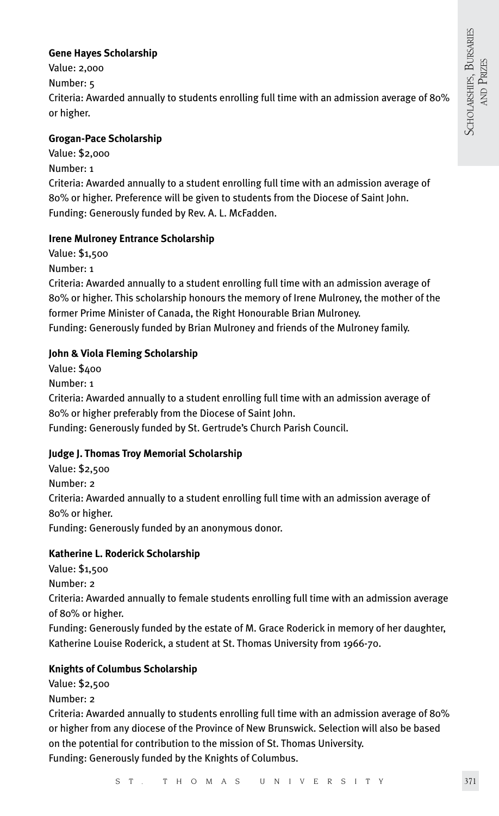## **Gene Hayes Scholarship**

Value: 2,000 Number: 5 Criteria: Awarded annually to students enrolling full time with an admission average of 80% or higher.

#### **Grogan-Pace Scholarship**

Value: \$2,000 Number: 1

Criteria: Awarded annually to a student enrolling full time with an admission average of 80% or higher. Preference will be given to students from the Diocese of Saint John. Funding: Generously funded by Rev. A. L. McFadden.

#### **Irene Mulroney Entrance Scholarship**

Value: \$1,500

Number: 1

Criteria: Awarded annually to a student enrolling full time with an admission average of 80% or higher. This scholarship honours the memory of Irene Mulroney, the mother of the former Prime Minister of Canada, the Right Honourable Brian Mulroney. Funding: Generously funded by Brian Mulroney and friends of the Mulroney family.

#### **John & Viola Fleming Scholarship**

Value: \$400

Number: 1

Criteria: Awarded annually to a student enrolling full time with an admission average of 80% or higher preferably from the Diocese of Saint John.

Funding: Generously funded by St. Gertrude's Church Parish Council.

#### **Judge J. Thomas Troy Memorial Scholarship**

Value: \$2,500 Number: 2 Criteria: Awarded annually to a student enrolling full time with an admission average of 80% or higher. Funding: Generously funded by an anonymous donor.

#### **Katherine L. Roderick Scholarship**

- Value: \$1,500
- Number: 2

Criteria: Awarded annually to female students enrolling full time with an admission average of 80% or higher.

Funding: Generously funded by the estate of M. Grace Roderick in memory of her daughter, Katherine Louise Roderick, a student at St. Thomas University from 1966-70.

#### **Knights of Columbus Scholarship**

Value: \$2,500

Number: 2

Criteria: Awarded annually to students enrolling full time with an admission average of 80% or higher from any diocese of the Province of New Brunswick. Selection will also be based on the potential for contribution to the mission of St. Thomas University.

Funding: Generously funded by the Knights of Columbus.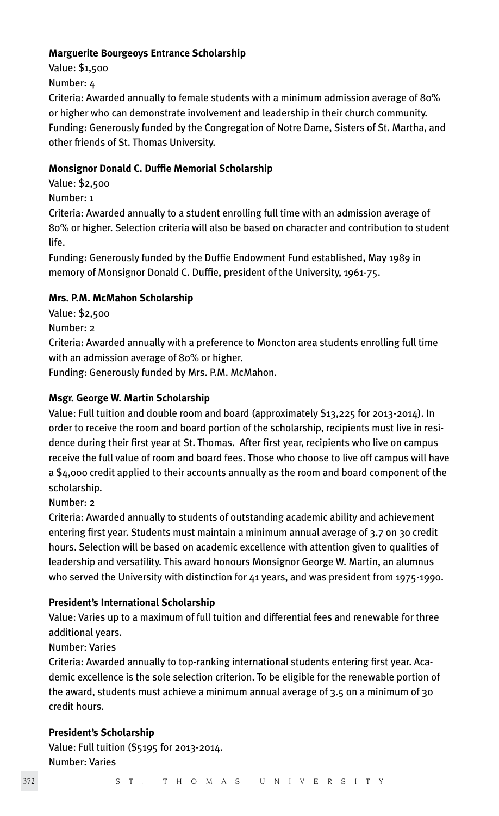#### **Marguerite Bourgeoys Entrance Scholarship**

Value: \$1,500 Number: 4

Criteria: Awarded annually to female students with a minimum admission average of 80% or higher who can demonstrate involvement and leadership in their church community. Funding: Generously funded by the Congregation of Notre Dame, Sisters of St. Martha, and other friends of St. Thomas University.

#### **Monsignor Donald C. Duffie Memorial Scholarship**

Value: \$2,500

Number: 1

Criteria: Awarded annually to a student enrolling full time with an admission average of 80% or higher. Selection criteria will also be based on character and contribution to student life.

Funding: Generously funded by the Duffie Endowment Fund established, May 1989 in memory of Monsignor Donald C. Duffie, president of the University, 1961-75.

#### **Mrs. P.M. McMahon Scholarship**

Value: \$2,500

Number: 2

Criteria: Awarded annually with a preference to Moncton area students enrolling full time with an admission average of 80% or higher.

Funding: Generously funded by Mrs. P.M. McMahon.

#### **Msgr. George W. Martin Scholarship**

Value: Full tuition and double room and board (approximately \$13,225 for 2013-2014). In order to receive the room and board portion of the scholarship, recipients must live in residence during their first year at St. Thomas. After first year, recipients who live on campus receive the full value of room and board fees. Those who choose to live off campus will have a \$4,000 credit applied to their accounts annually as the room and board component of the scholarship.

#### Number: 2

Criteria: Awarded annually to students of outstanding academic ability and achievement entering first year. Students must maintain a minimum annual average of 3.7 on 30 credit hours. Selection will be based on academic excellence with attention given to qualities of leadership and versatility. This award honours Monsignor George W. Martin, an alumnus who served the University with distinction for 41 years, and was president from 1975-1990.

#### **President's International Scholarship**

Value: Varies up to a maximum of full tuition and differential fees and renewable for three additional years.

Number: Varies

Criteria: Awarded annually to top-ranking international students entering first year. Academic excellence is the sole selection criterion. To be eligible for the renewable portion of the award, students must achieve a minimum annual average of 3.5 on a minimum of 30 credit hours.

#### **President's Scholarship**

Value: Full tuition (\$5195 for 2013-2014. Number: Varies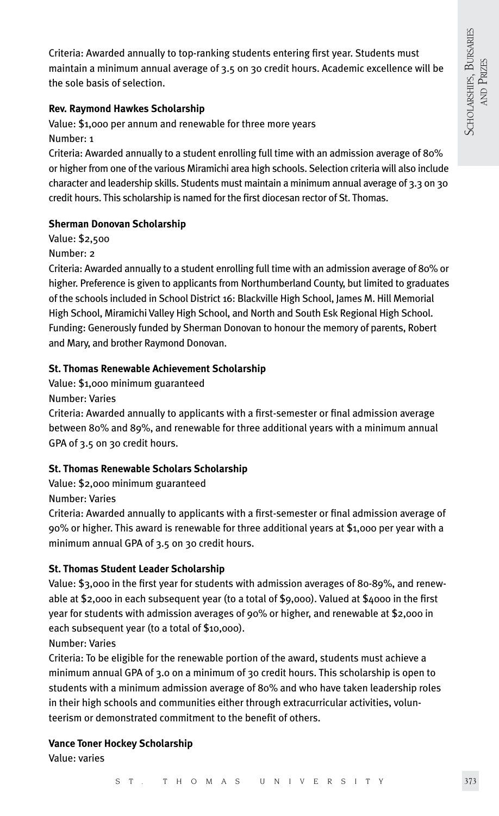Criteria: Awarded annually to top-ranking students entering first year. Students must maintain a minimum annual average of 3.5 on 30 credit hours. Academic excellence will be the sole basis of selection.

#### **Rev. Raymond Hawkes Scholarship**

Value: \$1,000 per annum and renewable for three more years Number: 1

Criteria: Awarded annually to a student enrolling full time with an admission average of 80% or higher from one of the various Miramichi area high schools. Selection criteria will also include character and leadership skills. Students must maintain a minimum annual average of 3.3 on 30 credit hours. This scholarship is named for the first diocesan rector of St. Thomas.

#### **Sherman Donovan Scholarship**

Value: \$2,500

Number: 2

Criteria: Awarded annually to a student enrolling full time with an admission average of 80% or higher. Preference is given to applicants from Northumberland County, but limited to graduates of the schools included in School District 16: Blackville High School, James M. Hill Memorial High School, Miramichi Valley High School, and North and South Esk Regional High School. Funding: Generously funded by Sherman Donovan to honour the memory of parents, Robert and Mary, and brother Raymond Donovan.

#### **St. Thomas Renewable Achievement Scholarship**

Value: \$1,000 minimum guaranteed

Number: Varies

Criteria: Awarded annually to applicants with a first-semester or final admission average between 80% and 89%, and renewable for three additional years with a minimum annual GPA of 3.5 on 30 credit hours.

#### **St. Thomas Renewable Scholars Scholarship**

Value: \$2,000 minimum guaranteed

Number: Varies

Criteria: Awarded annually to applicants with a first-semester or final admission average of 90% or higher. This award is renewable for three additional years at \$1,000 per year with a minimum annual GPA of 3.5 on 30 credit hours.

#### **St. Thomas Student Leader Scholarship**

Value: \$3,000 in the first year for students with admission averages of 80-89%, and renewable at \$2,000 in each subsequent year (to a total of \$9,000). Valued at \$4000 in the first year for students with admission averages of 90% or higher, and renewable at \$2,000 in each subsequent year (to a total of \$10,000).

Number: Varies

Criteria: To be eligible for the renewable portion of the award, students must achieve a minimum annual GPA of 3.0 on a minimum of 30 credit hours. This scholarship is open to students with a minimum admission average of 80% and who have taken leadership roles in their high schools and communities either through extracurricular activities, volunteerism or demonstrated commitment to the benefit of others.

#### **Vance Toner Hockey Scholarship**

Value: varies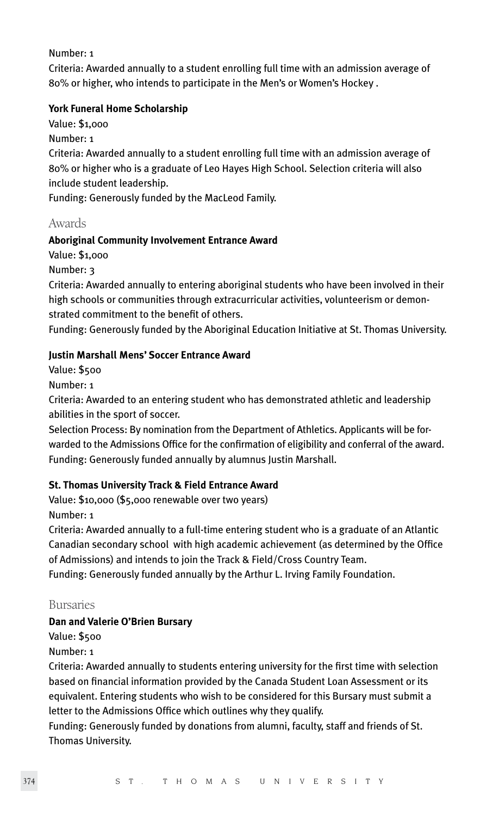Number: 1

Criteria: Awarded annually to a student enrolling full time with an admission average of 80% or higher, who intends to participate in the Men's or Women's Hockey .

#### **York Funeral Home Scholarship**

Value: \$1,000 Number: 1

Criteria: Awarded annually to a student enrolling full time with an admission average of 80% or higher who is a graduate of Leo Hayes High School. Selection criteria will also include student leadership.

Funding: Generously funded by the MacLeod Family.

#### Awards

#### **Aboriginal Community Involvement Entrance Award**

Value: \$1,000

Number: 3

Criteria: Awarded annually to entering aboriginal students who have been involved in their high schools or communities through extracurricular activities, volunteerism or demonstrated commitment to the benefit of others.

Funding: Generously funded by the Aboriginal Education Initiative at St. Thomas University.

#### **Justin Marshall Mens' Soccer Entrance Award**

Value: \$500

Number: 1

Criteria: Awarded to an entering student who has demonstrated athletic and leadership abilities in the sport of soccer.

Selection Process: By nomination from the Department of Athletics. Applicants will be forwarded to the Admissions Office for the confirmation of eligibility and conferral of the award. Funding: Generously funded annually by alumnus Justin Marshall.

#### **St. Thomas University Track & Field Entrance Award**

Value: \$10,000 (\$5,000 renewable over two years) Number: 1

Criteria: Awarded annually to a full-time entering student who is a graduate of an Atlantic Canadian secondary school with high academic achievement (as determined by the Office of Admissions) and intends to join the Track & Field/Cross Country Team.

Funding: Generously funded annually by the Arthur L. Irving Family Foundation.

#### Bursaries

#### **Dan and Valerie O'Brien Bursary**

Value: \$500

Number: 1

Criteria: Awarded annually to students entering university for the first time with selection based on financial information provided by the Canada Student Loan Assessment or its equivalent. Entering students who wish to be considered for this Bursary must submit a letter to the Admissions Office which outlines why they qualify.

Funding: Generously funded by donations from alumni, faculty, staff and friends of St. Thomas University.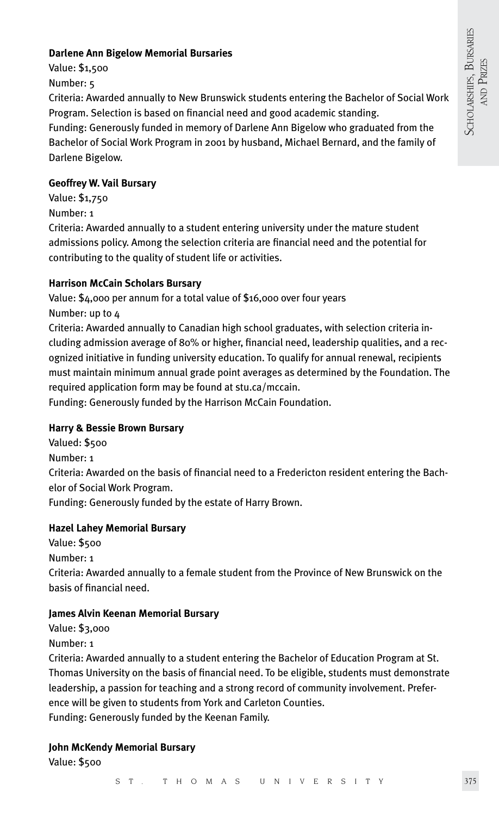#### **Darlene Ann Bigelow Memorial Bursaries**

Value: \$1,500 Number: 5

Criteria: Awarded annually to New Brunswick students entering the Bachelor of Social Work Program. Selection is based on financial need and good academic standing.

Funding: Generously funded in memory of Darlene Ann Bigelow who graduated from the Bachelor of Social Work Program in 2001 by husband, Michael Bernard, and the family of Darlene Bigelow.

#### **Geoffrey W. Vail Bursary**

Value: \$1,750 Number: 1

Criteria: Awarded annually to a student entering university under the mature student admissions policy. Among the selection criteria are financial need and the potential for contributing to the quality of student life or activities.

## **Harrison McCain Scholars Bursary**

Value: \$4,000 per annum for a total value of \$16,000 over four years Number: up to 4

Criteria: Awarded annually to Canadian high school graduates, with selection criteria including admission average of 80% or higher, financial need, leadership qualities, and a recognized initiative in funding university education. To qualify for annual renewal, recipients must maintain minimum annual grade point averages as determined by the Foundation. The required application form may be found at stu.ca/mccain.

Funding: Generously funded by the Harrison McCain Foundation.

## **Harry & Bessie Brown Bursary**

Valued: \$500 Number: 1 Criteria: Awarded on the basis of financial need to a Fredericton resident entering the Bachelor of Social Work Program. Funding: Generously funded by the estate of Harry Brown.

## **Hazel Lahey Memorial Bursary**

Value: \$500

Number: 1

Criteria: Awarded annually to a female student from the Province of New Brunswick on the basis of financial need.

## **James Alvin Keenan Memorial Bursary**

Value: \$3,000 Number: 1

Criteria: Awarded annually to a student entering the Bachelor of Education Program at St. Thomas University on the basis of financial need. To be eligible, students must demonstrate leadership, a passion for teaching and a strong record of community involvement. Preference will be given to students from York and Carleton Counties. Funding: Generously funded by the Keenan Family.

## **John McKendy Memorial Bursary**

Value: \$500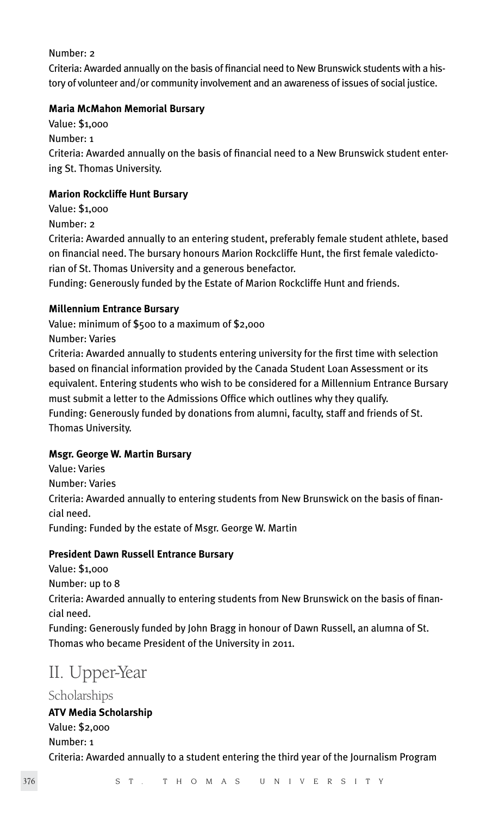#### Number: 2

Criteria: Awarded annually on the basis of financial need to New Brunswick students with a history of volunteer and/or community involvement and an awareness of issues of social justice.

#### **Maria McMahon Memorial Bursary**

Value: \$1,000 Number: 1 Criteria: Awarded annually on the basis of financial need to a New Brunswick student entering St. Thomas University.

#### **Marion Rockcliffe Hunt Bursary**

Value: \$1,000 Number: 2

Criteria: Awarded annually to an entering student, preferably female student athlete, based on financial need. The bursary honours Marion Rockcliffe Hunt, the first female valedictorian of St. Thomas University and a generous benefactor.

Funding: Generously funded by the Estate of Marion Rockcliffe Hunt and friends.

#### **Millennium Entrance Bursary**

Value: minimum of \$500 to a maximum of \$2,000 Number: Varies

Criteria: Awarded annually to students entering university for the first time with selection based on financial information provided by the Canada Student Loan Assessment or its equivalent. Entering students who wish to be considered for a Millennium Entrance Bursary must submit a letter to the Admissions Office which outlines why they qualify. Funding: Generously funded by donations from alumni, faculty, staff and friends of St. Thomas University.

#### **Msgr. George W. Martin Bursary**

Value: Varies Number: Varies Criteria: Awarded annually to entering students from New Brunswick on the basis of financial need. Funding: Funded by the estate of Msgr. George W. Martin

#### **President Dawn Russell Entrance Bursary**

Value: \$1,000

Number: up to 8

Criteria: Awarded annually to entering students from New Brunswick on the basis of financial need.

Funding: Generously funded by John Bragg in honour of Dawn Russell, an alumna of St. Thomas who became President of the University in 2011.

## II. Upper-Year

Scholarships **ATV Media Scholarship**  Value: \$2,000 Number: 1 Criteria: Awarded annually to a student entering the third year of the Journalism Program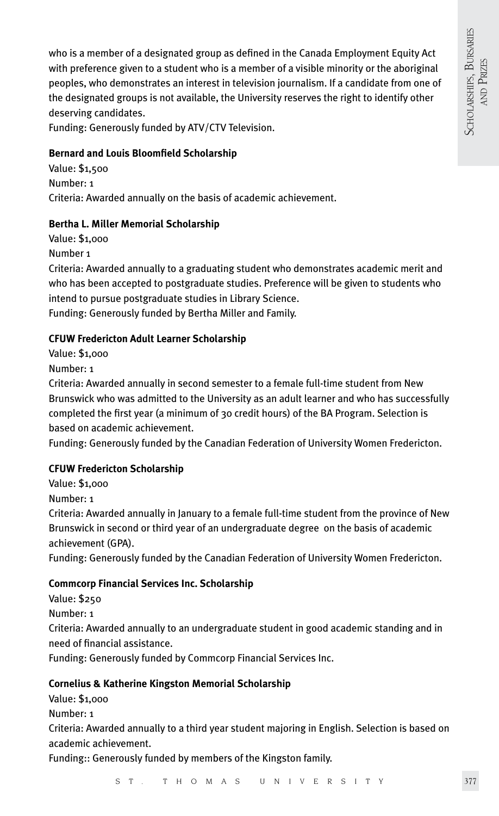who is a member of a designated group as defined in the Canada Employment Equity Act with preference given to a student who is a member of a visible minority or the aboriginal peoples, who demonstrates an interest in television journalism. If a candidate from one of the designated groups is not available, the University reserves the right to identify other deserving candidates.

Funding: Generously funded by ATV/CTV Television.

## **Bernard and Louis Bloomfield Scholarship**

Value: \$1,500 Number: 1 Criteria: Awarded annually on the basis of academic achievement.

## **Bertha L. Miller Memorial Scholarship**

Value: \$1,000

Number 1

Criteria: Awarded annually to a graduating student who demonstrates academic merit and who has been accepted to postgraduate studies. Preference will be given to students who intend to pursue postgraduate studies in Library Science.

Funding: Generously funded by Bertha Miller and Family.

#### **CFUW Fredericton Adult Learner Scholarship**

Value: \$1,000

Number: 1

Criteria: Awarded annually in second semester to a female full-time student from New Brunswick who was admitted to the University as an adult learner and who has successfully completed the first year (a minimum of 30 credit hours) of the BA Program. Selection is based on academic achievement.

Funding: Generously funded by the Canadian Federation of University Women Fredericton.

## **CFUW Fredericton Scholarship**

Value: \$1,000

Number: 1

Criteria: Awarded annually in January to a female full-time student from the province of New Brunswick in second or third year of an undergraduate degree on the basis of academic achievement (GPA).

Funding: Generously funded by the Canadian Federation of University Women Fredericton.

#### **Commcorp Financial Services Inc. Scholarship**

Value: \$250 Number: 1

Criteria: Awarded annually to an undergraduate student in good academic standing and in need of financial assistance.

Funding: Generously funded by Commcorp Financial Services Inc.

#### **Cornelius & Katherine Kingston Memorial Scholarship**

Value: \$1,000

Number: 1

Criteria: Awarded annually to a third year student majoring in English. Selection is based on academic achievement.

Funding:: Generously funded by members of the Kingston family.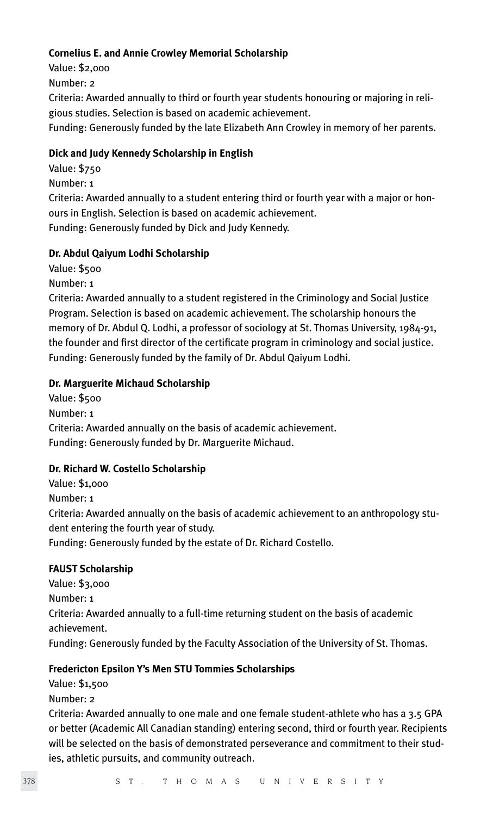#### **Cornelius E. and Annie Crowley Memorial Scholarship**

Value: \$2,000 Number: 2 Criteria: Awarded annually to third or fourth year students honouring or majoring in religious studies. Selection is based on academic achievement. Funding: Generously funded by the late Elizabeth Ann Crowley in memory of her parents.

#### **Dick and Judy Kennedy Scholarship in English**

Value: \$750

Number: 1

Criteria: Awarded annually to a student entering third or fourth year with a major or honours in English. Selection is based on academic achievement. Funding: Generously funded by Dick and Judy Kennedy.

#### **Dr. Abdul Qaiyum Lodhi Scholarship**

Value: \$500

Number: 1

Criteria: Awarded annually to a student registered in the Criminology and Social Justice Program. Selection is based on academic achievement. The scholarship honours the memory of Dr. Abdul Q. Lodhi, a professor of sociology at St. Thomas University, 1984-91, the founder and first director of the certificate program in criminology and social justice. Funding: Generously funded by the family of Dr. Abdul Qaiyum Lodhi.

#### **Dr. Marguerite Michaud Scholarship**

Value: \$500 Number: 1 Criteria: Awarded annually on the basis of academic achievement. Funding: Generously funded by Dr. Marguerite Michaud.

#### **Dr. Richard W. Costello Scholarship**

Value: \$1,000 Number: 1 Criteria: Awarded annually on the basis of academic achievement to an anthropology student entering the fourth year of study. Funding: Generously funded by the estate of Dr. Richard Costello.

#### **FAUST Scholarship**

Value: \$3,000 Number: 1 Criteria: Awarded annually to a full-time returning student on the basis of academic achievement. Funding: Generously funded by the Faculty Association of the University of St. Thomas.

#### **Fredericton Epsilon Y's Men STU Tommies Scholarships**

Value: \$1,500 Number: 2

Criteria: Awarded annually to one male and one female student-athlete who has a 3.5 GPA or better (Academic All Canadian standing) entering second, third or fourth year. Recipients will be selected on the basis of demonstrated perseverance and commitment to their studies, athletic pursuits, and community outreach.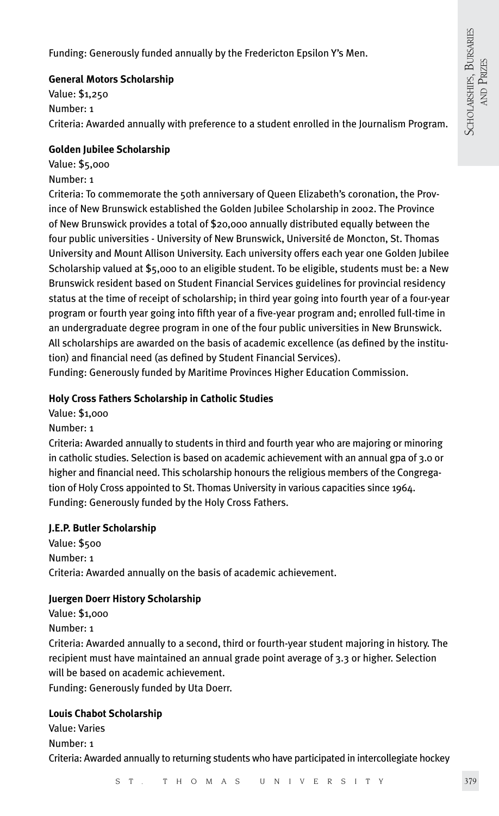Funding: Generously funded annually by the Fredericton Epsilon Y's Men.

#### **General Motors Scholarship**

Value: \$1,250 Number: 1 Criteria: Awarded annually with preference to a student enrolled in the Journalism Program.

## **Golden Jubilee Scholarship**

## Value: \$5,000

#### Number: 1

Criteria: To commemorate the 50th anniversary of Queen Elizabeth's coronation, the Province of New Brunswick established the Golden Jubilee Scholarship in 2002. The Province of New Brunswick provides a total of \$20,000 annually distributed equally between the four public universities - University of New Brunswick, Université de Moncton, St. Thomas University and Mount Allison University. Each university offers each year one Golden Jubilee Scholarship valued at \$5,000 to an eligible student. To be eligible, students must be: a New Brunswick resident based on Student Financial Services guidelines for provincial residency status at the time of receipt of scholarship; in third year going into fourth year of a four-year program or fourth year going into fifth year of a five-year program and; enrolled full-time in an undergraduate degree program in one of the four public universities in New Brunswick. All scholarships are awarded on the basis of academic excellence (as defined by the institution) and financial need (as defined by Student Financial Services).

Funding: Generously funded by Maritime Provinces Higher Education Commission.

## **Holy Cross Fathers Scholarship in Catholic Studies**

Value: \$1,000

#### Number: 1

Criteria: Awarded annually to students in third and fourth year who are majoring or minoring in catholic studies. Selection is based on academic achievement with an annual gpa of 3.0 or higher and financial need. This scholarship honours the religious members of the Congregation of Holy Cross appointed to St. Thomas University in various capacities since 1964. Funding: Generously funded by the Holy Cross Fathers.

## **J.E.P. Butler Scholarship**

Value: \$500 Number: 1 Criteria: Awarded annually on the basis of academic achievement.

## **Juergen Doerr History Scholarship**

Value: \$1,000 Number: 1 Criteria: Awarded annually to a second, third or fourth-year student majoring in history. The recipient must have maintained an annual grade point average of 3.3 or higher. Selection will be based on academic achievement. Funding: Generously funded by Uta Doerr.

## **Louis Chabot Scholarship**

Value: Varies Number: 1 Criteria: Awarded annually to returning students who have participated in intercollegiate hockey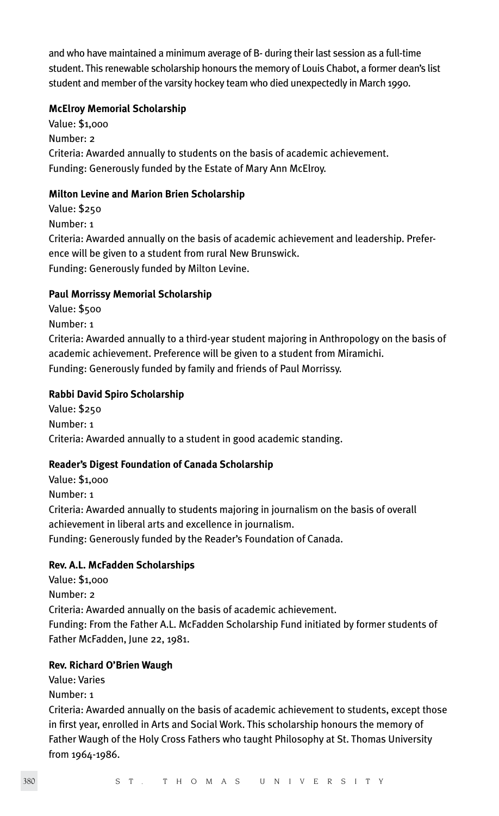and who have maintained a minimum average of B- during their last session as a full-time student. This renewable scholarship honours the memory of Louis Chabot, a former dean's list student and member of the varsity hockey team who died unexpectedly in March 1990.

#### **McElroy Memorial Scholarship**

Value: \$1,000 Number: 2 Criteria: Awarded annually to students on the basis of academic achievement. Funding: Generously funded by the Estate of Mary Ann McElroy.

#### **Milton Levine and Marion Brien Scholarship**

Value: \$250 Number: 1 Criteria: Awarded annually on the basis of academic achievement and leadership. Preference will be given to a student from rural New Brunswick. Funding: Generously funded by Milton Levine.

#### **Paul Morrissy Memorial Scholarship**

Value: \$500

Number: 1

Criteria: Awarded annually to a third-year student majoring in Anthropology on the basis of academic achievement. Preference will be given to a student from Miramichi. Funding: Generously funded by family and friends of Paul Morrissy.

#### **Rabbi David Spiro Scholarship**

Value: \$250 Number: 1 Criteria: Awarded annually to a student in good academic standing.

#### **Reader's Digest Foundation of Canada Scholarship**

Value: \$1,000 Number: 1 Criteria: Awarded annually to students majoring in journalism on the basis of overall achievement in liberal arts and excellence in journalism. Funding: Generously funded by the Reader's Foundation of Canada.

#### **Rev. A.L. McFadden Scholarships**

Value: \$1,000 Number: 2 Criteria: Awarded annually on the basis of academic achievement. Funding: From the Father A.L. McFadden Scholarship Fund initiated by former students of Father McFadden, June 22, 1981.

#### **Rev. Richard O'Brien Waugh**

Value: Varies

Number: 1

Criteria: Awarded annually on the basis of academic achievement to students, except those in first year, enrolled in Arts and Social Work. This scholarship honours the memory of Father Waugh of the Holy Cross Fathers who taught Philosophy at St. Thomas University from 1964-1986.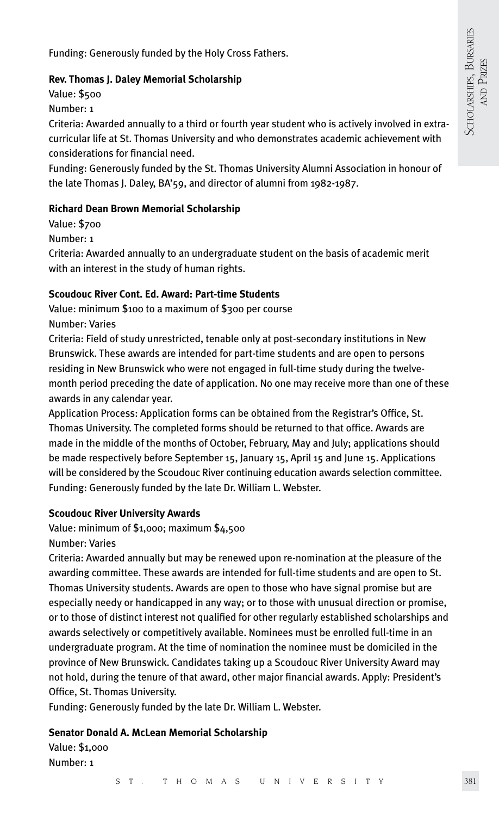Funding: Generously funded by the Holy Cross Fathers.

#### **Rev. Thomas J. Daley Memorial Scholarship**

Value: \$500

Number: 1

Criteria: Awarded annually to a third or fourth year student who is actively involved in extracurricular life at St. Thomas University and who demonstrates academic achievement with considerations for financial need.

Funding: Generously funded by the St. Thomas University Alumni Association in honour of the late Thomas J. Daley, BA'59, and director of alumni from 1982-1987.

#### **Richard Dean Brown Memorial Scholarship**

Value: \$700 Number: 1 Criteria: Awarded annually to an undergraduate student on the basis of academic merit with an interest in the study of human rights.

#### **Scoudouc River Cont. Ed. Award: Part-time Students**

Value: minimum \$100 to a maximum of \$300 per course Number: Varies

Criteria: Field of study unrestricted, tenable only at post-secondary institutions in New Brunswick. These awards are intended for part-time students and are open to persons residing in New Brunswick who were not engaged in full-time study during the twelvemonth period preceding the date of application. No one may receive more than one of these awards in any calendar year.

Application Process: Application forms can be obtained from the Registrar's Office, St. Thomas University. The completed forms should be returned to that office. Awards are made in the middle of the months of October, February, May and July; applications should be made respectively before September 15, January 15, April 15 and June 15. Applications will be considered by the Scoudouc River continuing education awards selection committee. Funding: Generously funded by the late Dr. William L. Webster.

#### **Scoudouc River University Awards**

Value: minimum of \$1,000; maximum \$4,500 Number: Varies

Criteria: Awarded annually but may be renewed upon re-nomination at the pleasure of the awarding committee. These awards are intended for full-time students and are open to St. Thomas University students. Awards are open to those who have signal promise but are especially needy or handicapped in any way; or to those with unusual direction or promise, or to those of distinct interest not qualified for other regularly established scholarships and awards selectively or competitively available. Nominees must be enrolled full-time in an undergraduate program. At the time of nomination the nominee must be domiciled in the province of New Brunswick. Candidates taking up a Scoudouc River University Award may not hold, during the tenure of that award, other major financial awards. Apply: President's Office, St. Thomas University.

Funding: Generously funded by the late Dr. William L. Webster.

#### **Senator Donald A. McLean Memorial Scholarship**

Value: \$1,000 Number: 1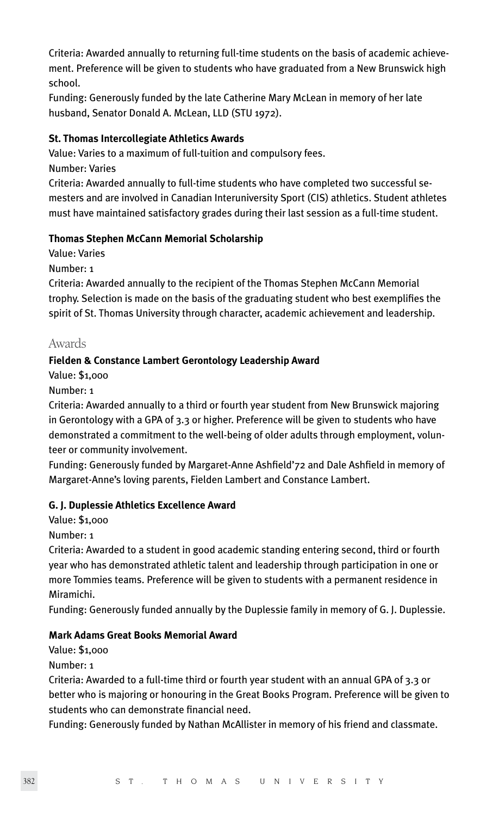Criteria: Awarded annually to returning full-time students on the basis of academic achievement. Preference will be given to students who have graduated from a New Brunswick high school.

Funding: Generously funded by the late Catherine Mary McLean in memory of her late husband, Senator Donald A. McLean, LLD (STU 1972).

#### **St. Thomas Intercollegiate Athletics Awards**

Value: Varies to a maximum of full-tuition and compulsory fees.

Number: Varies

Criteria: Awarded annually to full-time students who have completed two successful semesters and are involved in Canadian Interuniversity Sport (CIS) athletics. Student athletes must have maintained satisfactory grades during their last session as a full-time student.

#### **Thomas Stephen McCann Memorial Scholarship**

Value: Varies

Number: 1

Criteria: Awarded annually to the recipient of the Thomas Stephen McCann Memorial trophy. Selection is made on the basis of the graduating student who best exemplifies the spirit of St. Thomas University through character, academic achievement and leadership.

## Awards

#### **Fielden & Constance Lambert Gerontology Leadership Award**

Value: \$1,000

Number: 1

Criteria: Awarded annually to a third or fourth year student from New Brunswick majoring in Gerontology with a GPA of 3.3 or higher. Preference will be given to students who have demonstrated a commitment to the well-being of older adults through employment, volunteer or community involvement.

Funding: Generously funded by Margaret-Anne Ashfield'72 and Dale Ashfield in memory of Margaret-Anne's loving parents, Fielden Lambert and Constance Lambert.

#### **G. J. Duplessie Athletics Excellence Award**

Value: \$1,000

Number: 1

Criteria: Awarded to a student in good academic standing entering second, third or fourth year who has demonstrated athletic talent and leadership through participation in one or more Tommies teams. Preference will be given to students with a permanent residence in Miramichi.

Funding: Generously funded annually by the Duplessie family in memory of G. J. Duplessie.

#### **Mark Adams Great Books Memorial Award**

Value: \$1,000

Number: 1

Criteria: Awarded to a full-time third or fourth year student with an annual GPA of 3.3 or better who is majoring or honouring in the Great Books Program. Preference will be given to students who can demonstrate financial need.

Funding: Generously funded by Nathan McAllister in memory of his friend and classmate.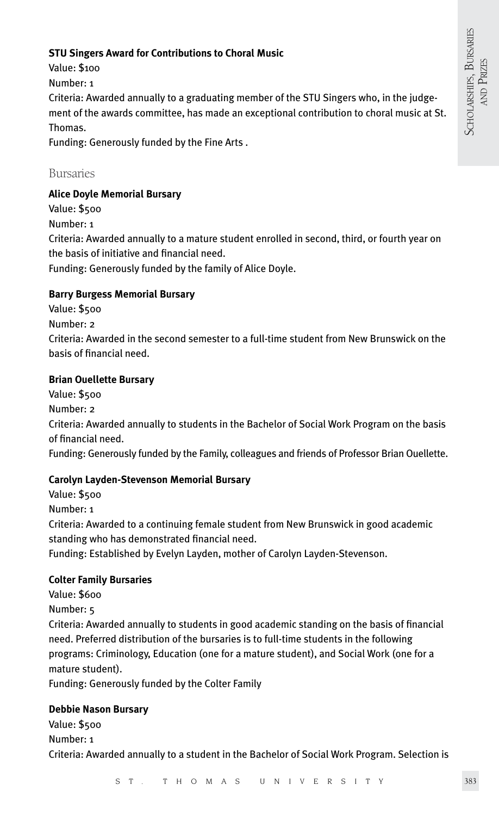#### **STU Singers Award for Contributions to Choral Music**

Value: \$100 Number: 1 Criteria: Awarded annually to a graduating member of the STU Singers who, in the judgement of the awards committee, has made an exceptional contribution to choral music at St. Thomas.

Funding: Generously funded by the Fine Arts .

#### Bursaries

#### **Alice Doyle Memorial Bursary**

Value: \$500

Number: 1

Criteria: Awarded annually to a mature student enrolled in second, third, or fourth year on the basis of initiative and financial need.

Funding: Generously funded by the family of Alice Doyle.

#### **Barry Burgess Memorial Bursary**

- Value: \$500
- Number: 2

Criteria: Awarded in the second semester to a full-time student from New Brunswick on the basis of financial need.

#### **Brian Ouellette Bursary**

Value: \$500 Number: 2 Criteria: Awarded annually to students in the Bachelor of Social Work Program on the basis of financial need. Funding: Generously funded by the Family, colleagues and friends of Professor Brian Ouellette.

#### **Carolyn Layden-Stevenson Memorial Bursary**

Value: \$500 Number: 1 Criteria: Awarded to a continuing female student from New Brunswick in good academic standing who has demonstrated financial need. Funding: Established by Evelyn Layden, mother of Carolyn Layden-Stevenson.

#### **Colter Family Bursaries**

Value: \$600

Number: 5

Criteria: Awarded annually to students in good academic standing on the basis of financial need. Preferred distribution of the bursaries is to full-time students in the following programs: Criminology, Education (one for a mature student), and Social Work (one for a mature student).

Funding: Generously funded by the Colter Family

#### **Debbie Nason Bursary**

Value: \$500 Number: 1 Criteria: Awarded annually to a student in the Bachelor of Social Work Program. Selection is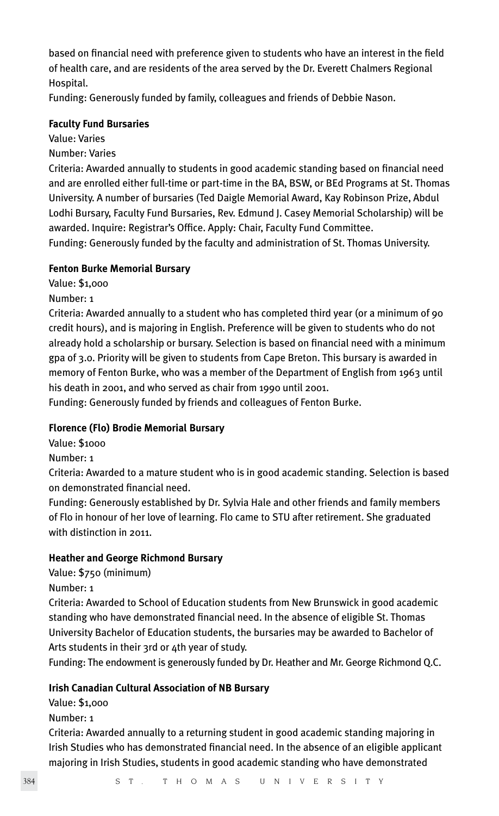based on financial need with preference given to students who have an interest in the field of health care, and are residents of the area served by the Dr. Everett Chalmers Regional Hospital.

Funding: Generously funded by family, colleagues and friends of Debbie Nason.

#### **Faculty Fund Bursaries**

Value: Varies

Number: Varies

Criteria: Awarded annually to students in good academic standing based on financial need and are enrolled either full-time or part-time in the BA, BSW, or BEd Programs at St. Thomas University. A number of bursaries (Ted Daigle Memorial Award, Kay Robinson Prize, Abdul Lodhi Bursary, Faculty Fund Bursaries, Rev. Edmund J. Casey Memorial Scholarship) will be awarded. Inquire: Registrar's Office. Apply: Chair, Faculty Fund Committee. Funding: Generously funded by the faculty and administration of St. Thomas University.

#### **Fenton Burke Memorial Bursary**

Value: \$1,000

Number: 1

Criteria: Awarded annually to a student who has completed third year (or a minimum of 90 credit hours), and is majoring in English. Preference will be given to students who do not already hold a scholarship or bursary. Selection is based on financial need with a minimum gpa of 3.0. Priority will be given to students from Cape Breton. This bursary is awarded in memory of Fenton Burke, who was a member of the Department of English from 1963 until his death in 2001, and who served as chair from 1990 until 2001.

Funding: Generously funded by friends and colleagues of Fenton Burke.

#### **Florence (Flo) Brodie Memorial Bursary**

Value: \$1000

Number: 1

Criteria: Awarded to a mature student who is in good academic standing. Selection is based on demonstrated financial need.

Funding: Generously established by Dr. Sylvia Hale and other friends and family members of Flo in honour of her love of learning. Flo came to STU after retirement. She graduated with distinction in 2011.

#### **Heather and George Richmond Bursary**

Value: \$750 (minimum)

Number: 1

Criteria: Awarded to School of Education students from New Brunswick in good academic standing who have demonstrated financial need. In the absence of eligible St. Thomas University Bachelor of Education students, the bursaries may be awarded to Bachelor of Arts students in their 3rd or 4th year of study.

Funding: The endowment is generously funded by Dr. Heather and Mr. George Richmond Q.C.

#### **Irish Canadian Cultural Association of NB Bursary**

Value: \$1,000

Number: 1

Criteria: Awarded annually to a returning student in good academic standing majoring in Irish Studies who has demonstrated financial need. In the absence of an eligible applicant majoring in Irish Studies, students in good academic standing who have demonstrated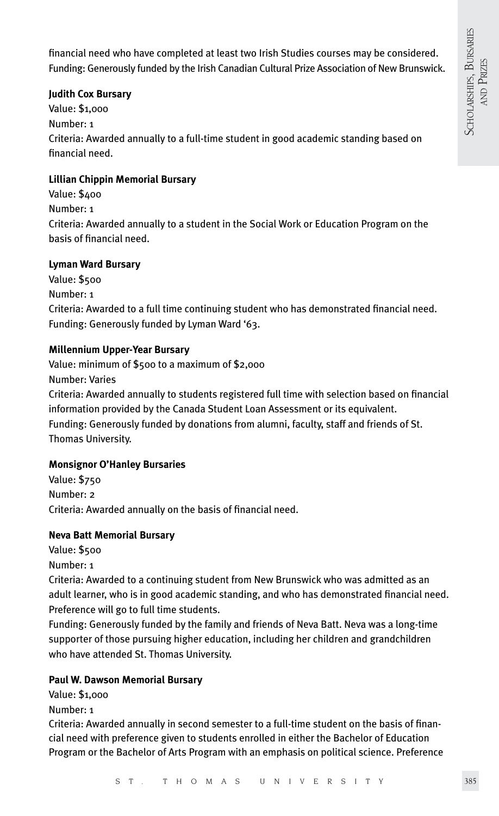financial need who have completed at least two Irish Studies courses may be considered. Funding: Generously funded by the Irish Canadian Cultural Prize Association of New Brunswick.

#### **Judith Cox Bursary**

Value: \$1,000 Number: 1 Criteria: Awarded annually to a full-time student in good academic standing based on financial need.

#### **Lillian Chippin Memorial Bursary**

Value: \$400

Number: 1

Criteria: Awarded annually to a student in the Social Work or Education Program on the basis of financial need.

#### **Lyman Ward Bursary**

Value: \$500 Number: 1 Criteria: Awarded to a full time continuing student who has demonstrated financial need. Funding: Generously funded by Lyman Ward '63.

#### **Millennium Upper-Year Bursary**

Value: minimum of \$500 to a maximum of \$2,000 Number: Varies Criteria: Awarded annually to students registered full time with selection based on financial information provided by the Canada Student Loan Assessment or its equivalent. Funding: Generously funded by donations from alumni, faculty, staff and friends of St. Thomas University.

#### **Monsignor O'Hanley Bursaries**

Value: \$750 Number: 2 Criteria: Awarded annually on the basis of financial need.

#### **Neva Batt Memorial Bursary**

Value: \$500

Number: 1

Criteria: Awarded to a continuing student from New Brunswick who was admitted as an adult learner, who is in good academic standing, and who has demonstrated financial need. Preference will go to full time students.

Funding: Generously funded by the family and friends of Neva Batt. Neva was a long-time supporter of those pursuing higher education, including her children and grandchildren who have attended St. Thomas University.

#### **Paul W. Dawson Memorial Bursary**

Value: \$1,000

Number: 1

Criteria: Awarded annually in second semester to a full-time student on the basis of financial need with preference given to students enrolled in either the Bachelor of Education Program or the Bachelor of Arts Program with an emphasis on political science. Preference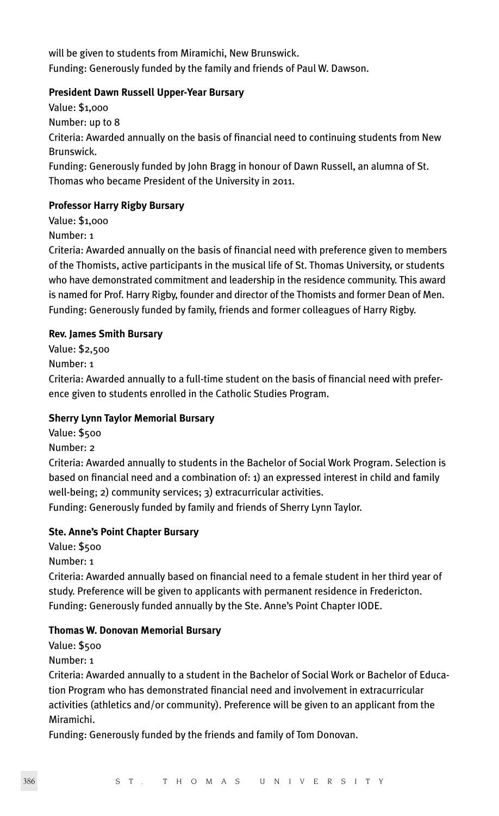will be given to students from Miramichi, New Brunswick. Funding: Generously funded by the family and friends of Paul W. Dawson.

#### **President Dawn Russell Upper-Year Bursary**

Value: \$1,000

Number: up to 8

Criteria: Awarded annually on the basis of financial need to continuing students from New Brunswick.

Funding: Generously funded by John Bragg in honour of Dawn Russell, an alumna of St. Thomas who became President of the University in 2011.

## **Professor Harry Rigby Bursary**

Value: \$1,000

Number: 1

Criteria: Awarded annually on the basis of financial need with preference given to members of the Thomists, active participants in the musical life of St. Thomas University, or students who have demonstrated commitment and leadership in the residence community. This award is named for Prof. Harry Rigby, founder and director of the Thomists and former Dean of Men. Funding: Generously funded by family, friends and former colleagues of Harry Rigby.

#### **Rev. James Smith Bursary**

Value: \$2,500

Number: 1

Criteria: Awarded annually to a full-time student on the basis of financial need with preference given to students enrolled in the Catholic Studies Program.

#### **Sherry Lynn Taylor Memorial Bursary**

Value: \$500

Number: 2

Criteria: Awarded annually to students in the Bachelor of Social Work Program. Selection is based on financial need and a combination of: 1) an expressed interest in child and family well-being; 2) community services; 3) extracurricular activities.

Funding: Generously funded by family and friends of Sherry Lynn Taylor.

#### **Ste. Anne's Point Chapter Bursary**

Value: \$500

Number: 1

Criteria: Awarded annually based on financial need to a female student in her third year of study. Preference will be given to applicants with permanent residence in Fredericton. Funding: Generously funded annually by the Ste. Anne's Point Chapter IODE.

#### **Thomas W. Donovan Memorial Bursary**

Value: \$500

Number: 1

Criteria: Awarded annually to a student in the Bachelor of Social Work or Bachelor of Education Program who has demonstrated financial need and involvement in extracurricular activities (athletics and/or community). Preference will be given to an applicant from the Miramichi.

Funding: Generously funded by the friends and family of Tom Donovan.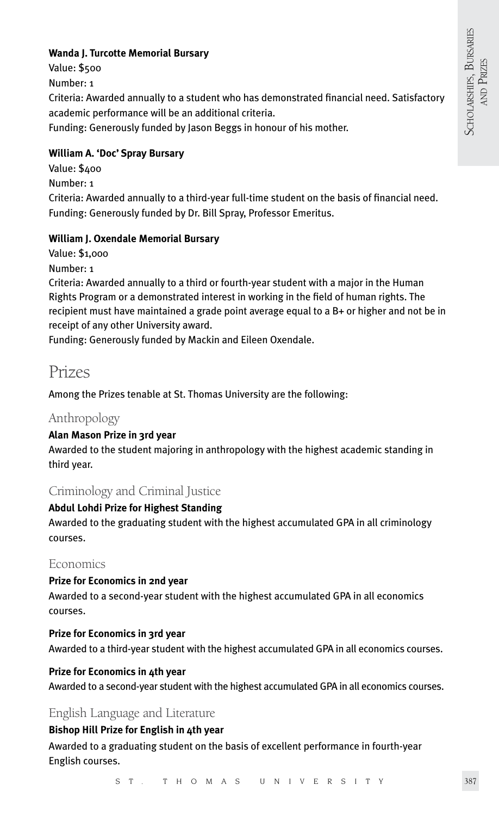#### **Wanda J. Turcotte Memorial Bursary**

Value: \$500 Number: 1 Criteria: Awarded annually to a student who has demonstrated financial need. Satisfactory academic performance will be an additional criteria. Funding: Generously funded by Jason Beggs in honour of his mother.

#### **William A. 'Doc' Spray Bursary**

Value: \$400 Number: 1

Criteria: Awarded annually to a third-year full-time student on the basis of financial need. Funding: Generously funded by Dr. Bill Spray, Professor Emeritus.

## **William J. Oxendale Memorial Bursary**

Value: \$1,000

Number: 1

Criteria: Awarded annually to a third or fourth-year student with a major in the Human Rights Program or a demonstrated interest in working in the field of human rights. The recipient must have maintained a grade point average equal to a B+ or higher and not be in receipt of any other University award.

Funding: Generously funded by Mackin and Eileen Oxendale.

## Prizes

Among the Prizes tenable at St. Thomas University are the following:

## Anthropology

#### **Alan Mason Prize in 3rd year**

Awarded to the student majoring in anthropology with the highest academic standing in third year.

## Criminology and Criminal Justice

#### **Abdul Lohdi Prize for Highest Standing**

Awarded to the graduating student with the highest accumulated GPA in all criminology courses.

#### Economics

#### **Prize for Economics in 2nd year**

Awarded to a second-year student with the highest accumulated GPA in all economics courses.

#### **Prize for Economics in 3rd year**

Awarded to a third-year student with the highest accumulated GPA in all economics courses.

#### **Prize for Economics in 4th year**

Awarded to a second-year student with the highest accumulated GPA in all economics courses.

## English Language and Literature

## **Bishop Hill Prize for English in 4th year**

Awarded to a graduating student on the basis of excellent performance in fourth-year English courses.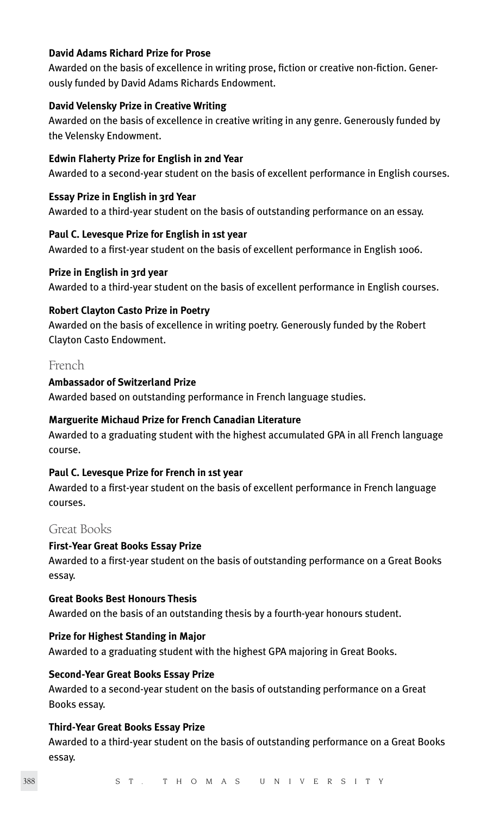#### **David Adams Richard Prize for Prose**

Awarded on the basis of excellence in writing prose, fiction or creative non-fiction. Generously funded by David Adams Richards Endowment.

#### **David Velensky Prize in Creative Writing**

Awarded on the basis of excellence in creative writing in any genre. Generously funded by the Velensky Endowment.

#### **Edwin Flaherty Prize for English in 2nd Year**

Awarded to a second-year student on the basis of excellent performance in English courses.

#### **Essay Prize in English in 3rd Year**

Awarded to a third-year student on the basis of outstanding performance on an essay.

#### **Paul C. Levesque Prize for English in 1st year**

Awarded to a first-year student on the basis of excellent performance in English 1006.

#### **Prize in English in 3rd year**

Awarded to a third-year student on the basis of excellent performance in English courses.

#### **Robert Clayton Casto Prize in Poetry**

Awarded on the basis of excellence in writing poetry. Generously funded by the Robert Clayton Casto Endowment.

## French

#### **Ambassador of Switzerland Prize**

Awarded based on outstanding performance in French language studies.

#### **Marguerite Michaud Prize for French Canadian Literature**

Awarded to a graduating student with the highest accumulated GPA in all French language course.

#### **Paul C. Levesque Prize for French in 1st year**

Awarded to a first-year student on the basis of excellent performance in French language courses.

#### Great Books

#### **First-Year Great Books Essay Prize**

Awarded to a first-year student on the basis of outstanding performance on a Great Books essay.

#### **Great Books Best Honours Thesis**

Awarded on the basis of an outstanding thesis by a fourth-year honours student.

#### **Prize for Highest Standing in Major**

Awarded to a graduating student with the highest GPA majoring in Great Books.

#### **Second-Year Great Books Essay Prize**

Awarded to a second-year student on the basis of outstanding performance on a Great Books essay.

#### **Third-Year Great Books Essay Prize**

Awarded to a third-year student on the basis of outstanding performance on a Great Books essay.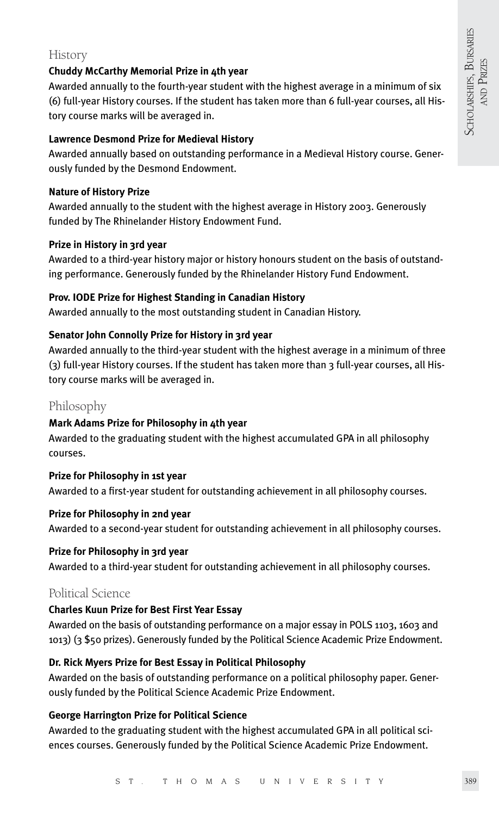## History 정보 - 대표 대표 대표 대표 대표 대표 대표 대표 대표 및 대표 대표 대표 및 대표 대표 대표 및 대표 대표 대표 및 대표 대표 대표 및 대표

#### **Chuddy McCarthy Memorial Prize in 4th year**

Awarded annually to the fourth-year student with the highest average in a minimum of six (6) full-year History courses. If the student has taken more than 6 full-year courses, all History course marks will be averaged in.

#### **Lawrence Desmond Prize for Medieval History**

Awarded annually based on outstanding performance in a Medieval History course. Generously funded by the Desmond Endowment.

#### **Nature of History Prize**

Awarded annually to the student with the highest average in History 2003. Generously funded by The Rhinelander History Endowment Fund.

#### **Prize in History in 3rd year**

Awarded to a third-year history major or history honours student on the basis of outstanding performance. Generously funded by the Rhinelander History Fund Endowment.

#### **Prov. IODE Prize for Highest Standing in Canadian History**

Awarded annually to the most outstanding student in Canadian History.

#### **Senator John Connolly Prize for History in 3rd year**

Awarded annually to the third-year student with the highest average in a minimum of three (3) full-year History courses. If the student has taken more than 3 full-year courses, all History course marks will be averaged in.

#### Philosophy

#### **Mark Adams Prize for Philosophy in 4th year**

Awarded to the graduating student with the highest accumulated GPA in all philosophy courses.

#### **Prize for Philosophy in 1st year**

Awarded to a first-year student for outstanding achievement in all philosophy courses.

#### **Prize for Philosophy in 2nd year**

Awarded to a second-year student for outstanding achievement in all philosophy courses.

#### **Prize for Philosophy in 3rd year**

Awarded to a third-year student for outstanding achievement in all philosophy courses.

## Political Science

## **Charles Kuun Prize for Best First Year Essay**

Awarded on the basis of outstanding performance on a major essay in POLS 1103, 1603 and 1013) (3 \$50 prizes). Generously funded by the Political Science Academic Prize Endowment.

#### **Dr. Rick Myers Prize for Best Essay in Political Philosophy**

Awarded on the basis of outstanding performance on a political philosophy paper. Generously funded by the Political Science Academic Prize Endowment.

#### **George Harrington Prize for Political Science**

Awarded to the graduating student with the highest accumulated GPA in all political sciences courses. Generously funded by the Political Science Academic Prize Endowment.